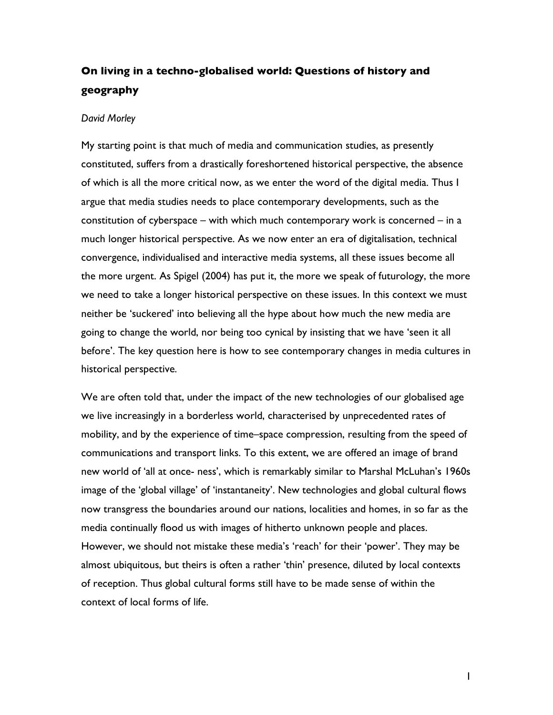# **On living in a techno-globalised world: Questions of history and geography**

### *David Morley*

My starting point is that much of media and communication studies, as presently constituted, suffers from a drastically foreshortened historical perspective, the absence of which is all the more critical now, as we enter the word of the digital media. Thus I argue that media studies needs to place contemporary developments, such as the constitution of cyberspace – with which much contemporary work is concerned – in a much longer historical perspective. As we now enter an era of digitalisation, technical convergence, individualised and interactive media systems, all these issues become all the more urgent. As Spigel (2004) has put it, the more we speak of futurology, the more we need to take a longer historical perspective on these issues. In this context we must neither be 'suckered' into believing all the hype about how much the new media are going to change the world, nor being too cynical by insisting that we have 'seen it all before'. The key question here is how to see contemporary changes in media cultures in historical perspective.

We are often told that, under the impact of the new technologies of our globalised age we live increasingly in a borderless world, characterised by unprecedented rates of mobility, and by the experience of time–space compression, resulting from the speed of communications and transport links. To this extent, we are offered an image of brand new world of 'all at once- ness', which is remarkably similar to Marshal McLuhan's 1960s image of the 'global village' of 'instantaneity'. New technologies and global cultural flows now transgress the boundaries around our nations, localities and homes, in so far as the media continually flood us with images of hitherto unknown people and places. However, we should not mistake these media's 'reach' for their 'power'. They may be almost ubiquitous, but theirs is often a rather 'thin' presence, diluted by local contexts of reception. Thus global cultural forms still have to be made sense of within the context of local forms of life.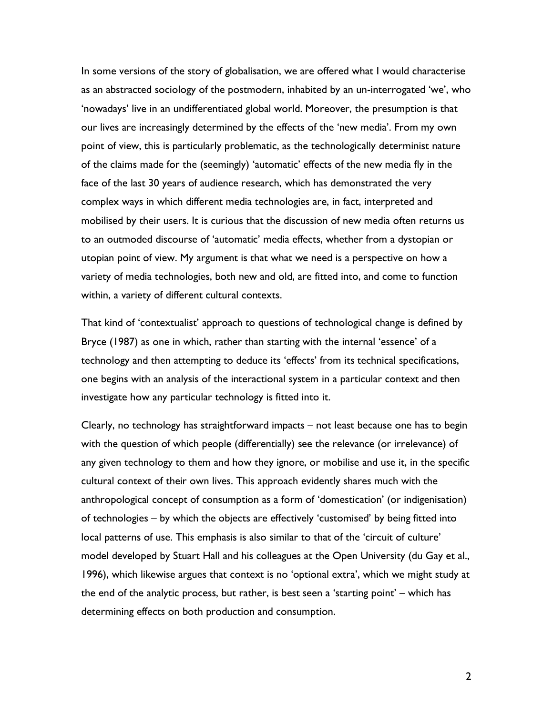In some versions of the story of globalisation, we are offered what I would characterise as an abstracted sociology of the postmodern, inhabited by an un-interrogated 'we', who 'nowadays' live in an undifferentiated global world. Moreover, the presumption is that our lives are increasingly determined by the effects of the 'new media'. From my own point of view, this is particularly problematic, as the technologically determinist nature of the claims made for the (seemingly) 'automatic' effects of the new media fly in the face of the last 30 years of audience research, which has demonstrated the very complex ways in which different media technologies are, in fact, interpreted and mobilised by their users. It is curious that the discussion of new media often returns us to an outmoded discourse of 'automatic' media effects, whether from a dystopian or utopian point of view. My argument is that what we need is a perspective on how a variety of media technologies, both new and old, are fitted into, and come to function within, a variety of different cultural contexts.

That kind of 'contextualist' approach to questions of technological change is defined by Bryce (1987) as one in which, rather than starting with the internal 'essence' of a technology and then attempting to deduce its 'effects' from its technical specifications, one begins with an analysis of the interactional system in a particular context and then investigate how any particular technology is fitted into it.

Clearly, no technology has straightforward impacts – not least because one has to begin with the question of which people (differentially) see the relevance (or irrelevance) of any given technology to them and how they ignore, or mobilise and use it, in the specific cultural context of their own lives. This approach evidently shares much with the anthropological concept of consumption as a form of 'domestication' (or indigenisation) of technologies – by which the objects are effectively 'customised' by being fitted into local patterns of use. This emphasis is also similar to that of the 'circuit of culture' model developed by Stuart Hall and his colleagues at the Open University (du Gay et al., 1996), which likewise argues that context is no 'optional extra', which we might study at the end of the analytic process, but rather, is best seen a 'starting point' – which has determining effects on both production and consumption.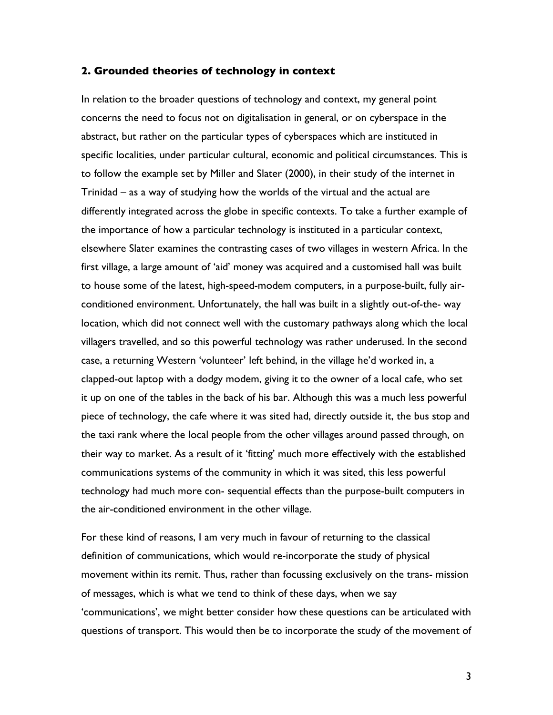### **2. Grounded theories of technology in context**

In relation to the broader questions of technology and context, my general point concerns the need to focus not on digitalisation in general, or on cyberspace in the abstract, but rather on the particular types of cyberspaces which are instituted in specific localities, under particular cultural, economic and political circumstances. This is to follow the example set by Miller and Slater (2000), in their study of the internet in Trinidad – as a way of studying how the worlds of the virtual and the actual are differently integrated across the globe in specific contexts. To take a further example of the importance of how a particular technology is instituted in a particular context, elsewhere Slater examines the contrasting cases of two villages in western Africa. In the first village, a large amount of 'aid' money was acquired and a customised hall was built to house some of the latest, high-speed-modem computers, in a purpose-built, fully airconditioned environment. Unfortunately, the hall was built in a slightly out-of-the- way location, which did not connect well with the customary pathways along which the local villagers travelled, and so this powerful technology was rather underused. In the second case, a returning Western 'volunteer' left behind, in the village he'd worked in, a clapped-out laptop with a dodgy modem, giving it to the owner of a local cafe, who set it up on one of the tables in the back of his bar. Although this was a much less powerful piece of technology, the cafe where it was sited had, directly outside it, the bus stop and the taxi rank where the local people from the other villages around passed through, on their way to market. As a result of it 'fitting' much more effectively with the established communications systems of the community in which it was sited, this less powerful technology had much more con- sequential effects than the purpose-built computers in the air-conditioned environment in the other village.

For these kind of reasons, I am very much in favour of returning to the classical definition of communications, which would re-incorporate the study of physical movement within its remit. Thus, rather than focussing exclusively on the trans- mission of messages, which is what we tend to think of these days, when we say 'communications', we might better consider how these questions can be articulated with questions of transport. This would then be to incorporate the study of the movement of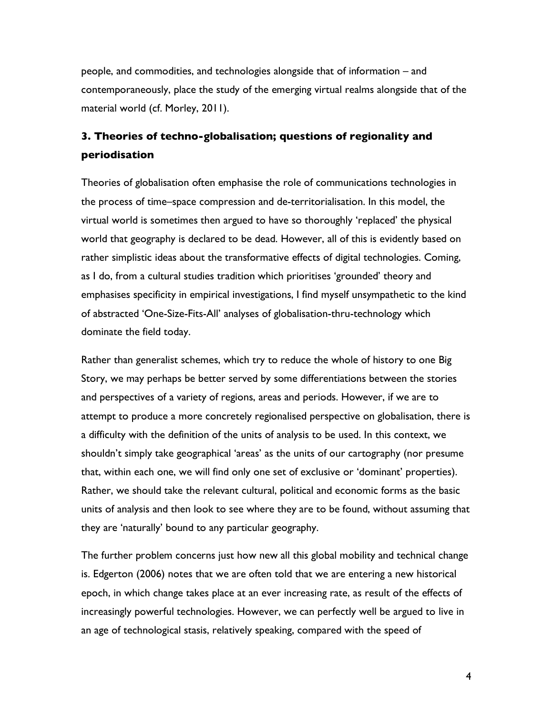people, and commodities, and technologies alongside that of information – and contemporaneously, place the study of the emerging virtual realms alongside that of the material world (cf. Morley, 2011).

## **3. Theories of techno-globalisation; questions of regionality and periodisation**

Theories of globalisation often emphasise the role of communications technologies in the process of time–space compression and de-territorialisation. In this model, the virtual world is sometimes then argued to have so thoroughly 'replaced' the physical world that geography is declared to be dead. However, all of this is evidently based on rather simplistic ideas about the transformative effects of digital technologies. Coming, as I do, from a cultural studies tradition which prioritises 'grounded' theory and emphasises specificity in empirical investigations, I find myself unsympathetic to the kind of abstracted 'One-Size-Fits-All' analyses of globalisation-thru-technology which dominate the field today.

Rather than generalist schemes, which try to reduce the whole of history to one Big Story, we may perhaps be better served by some differentiations between the stories and perspectives of a variety of regions, areas and periods. However, if we are to attempt to produce a more concretely regionalised perspective on globalisation, there is a difficulty with the definition of the units of analysis to be used. In this context, we shouldn't simply take geographical 'areas' as the units of our cartography (nor presume that, within each one, we will find only one set of exclusive or 'dominant' properties). Rather, we should take the relevant cultural, political and economic forms as the basic units of analysis and then look to see where they are to be found, without assuming that they are 'naturally' bound to any particular geography.

The further problem concerns just how new all this global mobility and technical change is. Edgerton (2006) notes that we are often told that we are entering a new historical epoch, in which change takes place at an ever increasing rate, as result of the effects of increasingly powerful technologies. However, we can perfectly well be argued to live in an age of technological stasis, relatively speaking, compared with the speed of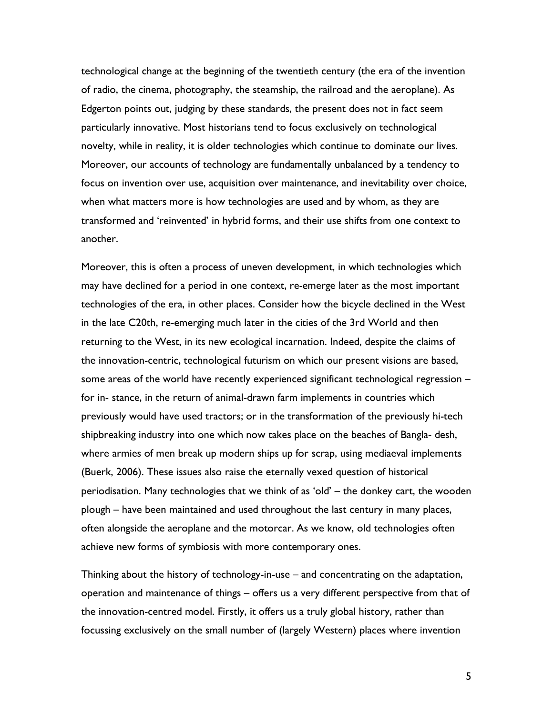technological change at the beginning of the twentieth century (the era of the invention of radio, the cinema, photography, the steamship, the railroad and the aeroplane). As Edgerton points out, judging by these standards, the present does not in fact seem particularly innovative. Most historians tend to focus exclusively on technological novelty, while in reality, it is older technologies which continue to dominate our lives. Moreover, our accounts of technology are fundamentally unbalanced by a tendency to focus on invention over use, acquisition over maintenance, and inevitability over choice, when what matters more is how technologies are used and by whom, as they are transformed and 'reinvented' in hybrid forms, and their use shifts from one context to another.

Moreover, this is often a process of uneven development, in which technologies which may have declined for a period in one context, re-emerge later as the most important technologies of the era, in other places. Consider how the bicycle declined in the West in the late C20th, re-emerging much later in the cities of the 3rd World and then returning to the West, in its new ecological incarnation. Indeed, despite the claims of the innovation-centric, technological futurism on which our present visions are based, some areas of the world have recently experienced significant technological regression – for in- stance, in the return of animal-drawn farm implements in countries which previously would have used tractors; or in the transformation of the previously hi-tech shipbreaking industry into one which now takes place on the beaches of Bangla- desh, where armies of men break up modern ships up for scrap, using mediaeval implements (Buerk, 2006). These issues also raise the eternally vexed question of historical periodisation. Many technologies that we think of as 'old' – the donkey cart, the wooden plough – have been maintained and used throughout the last century in many places, often alongside the aeroplane and the motorcar. As we know, old technologies often achieve new forms of symbiosis with more contemporary ones.

Thinking about the history of technology-in-use – and concentrating on the adaptation, operation and maintenance of things – offers us a very different perspective from that of the innovation-centred model. Firstly, it offers us a truly global history, rather than focussing exclusively on the small number of (largely Western) places where invention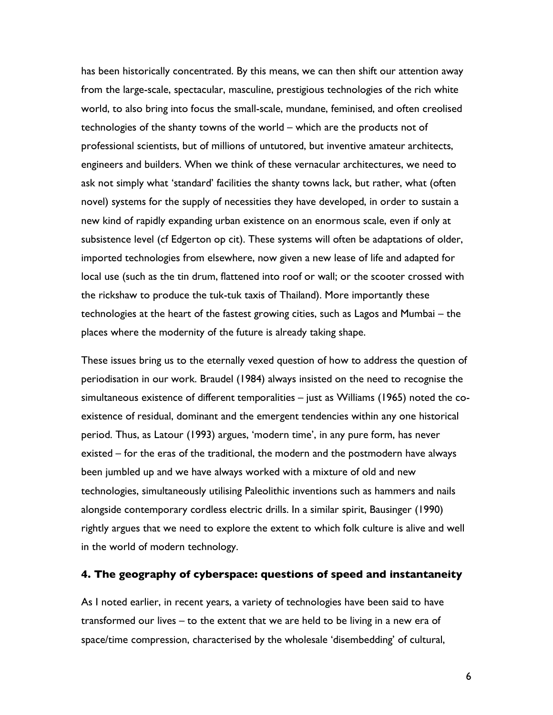has been historically concentrated. By this means, we can then shift our attention away from the large-scale, spectacular, masculine, prestigious technologies of the rich white world, to also bring into focus the small-scale, mundane, feminised, and often creolised technologies of the shanty towns of the world – which are the products not of professional scientists, but of millions of untutored, but inventive amateur architects, engineers and builders. When we think of these vernacular architectures, we need to ask not simply what 'standard' facilities the shanty towns lack, but rather, what (often novel) systems for the supply of necessities they have developed, in order to sustain a new kind of rapidly expanding urban existence on an enormous scale, even if only at subsistence level (cf Edgerton op cit). These systems will often be adaptations of older, imported technologies from elsewhere, now given a new lease of life and adapted for local use (such as the tin drum, flattened into roof or wall; or the scooter crossed with the rickshaw to produce the tuk-tuk taxis of Thailand). More importantly these technologies at the heart of the fastest growing cities, such as Lagos and Mumbai – the places where the modernity of the future is already taking shape.

These issues bring us to the eternally vexed question of how to address the question of periodisation in our work. Braudel (1984) always insisted on the need to recognise the simultaneous existence of different temporalities – just as Williams (1965) noted the coexistence of residual, dominant and the emergent tendencies within any one historical period. Thus, as Latour (1993) argues, 'modern time', in any pure form, has never existed – for the eras of the traditional, the modern and the postmodern have always been jumbled up and we have always worked with a mixture of old and new technologies, simultaneously utilising Paleolithic inventions such as hammers and nails alongside contemporary cordless electric drills. In a similar spirit, Bausinger (1990) rightly argues that we need to explore the extent to which folk culture is alive and well in the world of modern technology.

### **4. The geography of cyberspace: questions of speed and instantaneity**

As I noted earlier, in recent years, a variety of technologies have been said to have transformed our lives – to the extent that we are held to be living in a new era of space/time compression, characterised by the wholesale 'disembedding' of cultural,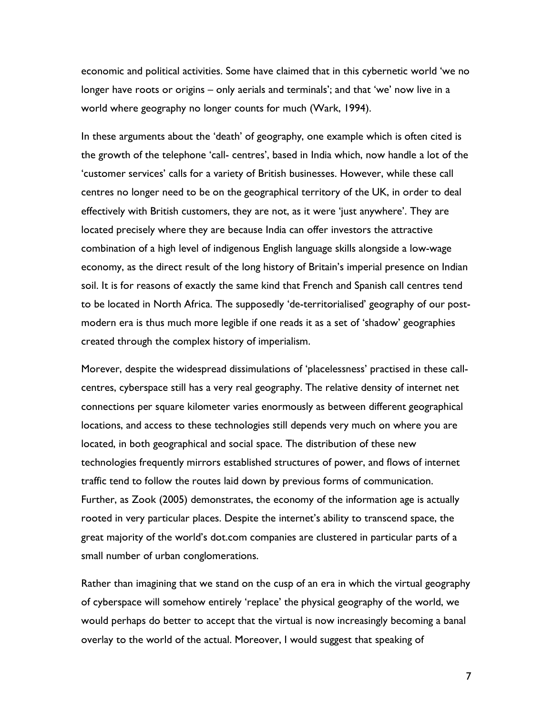economic and political activities. Some have claimed that in this cybernetic world 'we no longer have roots or origins – only aerials and terminals'; and that 'we' now live in a world where geography no longer counts for much (Wark, 1994).

In these arguments about the 'death' of geography, one example which is often cited is the growth of the telephone 'call- centres', based in India which, now handle a lot of the 'customer services' calls for a variety of British businesses. However, while these call centres no longer need to be on the geographical territory of the UK, in order to deal effectively with British customers, they are not, as it were 'just anywhere'. They are located precisely where they are because India can offer investors the attractive combination of a high level of indigenous English language skills alongside a low-wage economy, as the direct result of the long history of Britain's imperial presence on Indian soil. It is for reasons of exactly the same kind that French and Spanish call centres tend to be located in North Africa. The supposedly 'de-territorialised' geography of our postmodern era is thus much more legible if one reads it as a set of 'shadow' geographies created through the complex history of imperialism.

Morever, despite the widespread dissimulations of 'placelessness' practised in these callcentres, cyberspace still has a very real geography. The relative density of internet net connections per square kilometer varies enormously as between different geographical locations, and access to these technologies still depends very much on where you are located, in both geographical and social space. The distribution of these new technologies frequently mirrors established structures of power, and flows of internet traffic tend to follow the routes laid down by previous forms of communication. Further, as Zook (2005) demonstrates, the economy of the information age is actually rooted in very particular places. Despite the internet's ability to transcend space, the great majority of the world's dot.com companies are clustered in particular parts of a small number of urban conglomerations.

Rather than imagining that we stand on the cusp of an era in which the virtual geography of cyberspace will somehow entirely 'replace' the physical geography of the world, we would perhaps do better to accept that the virtual is now increasingly becoming a banal overlay to the world of the actual. Moreover, I would suggest that speaking of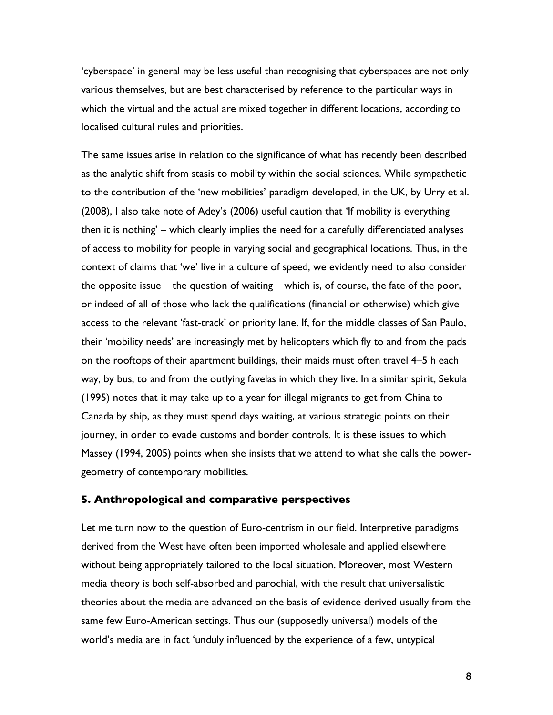'cyberspace' in general may be less useful than recognising that cyberspaces are not only various themselves, but are best characterised by reference to the particular ways in which the virtual and the actual are mixed together in different locations, according to localised cultural rules and priorities.

The same issues arise in relation to the significance of what has recently been described as the analytic shift from stasis to mobility within the social sciences. While sympathetic to the contribution of the 'new mobilities' paradigm developed, in the UK, by Urry et al. (2008), I also take note of Adey's (2006) useful caution that 'If mobility is everything then it is nothing' – which clearly implies the need for a carefully differentiated analyses of access to mobility for people in varying social and geographical locations. Thus, in the context of claims that 'we' live in a culture of speed, we evidently need to also consider the opposite issue – the question of waiting – which is, of course, the fate of the poor, or indeed of all of those who lack the qualifications (financial or otherwise) which give access to the relevant 'fast-track' or priority lane. If, for the middle classes of San Paulo, their 'mobility needs' are increasingly met by helicopters which fly to and from the pads on the rooftops of their apartment buildings, their maids must often travel 4–5 h each way, by bus, to and from the outlying favelas in which they live. In a similar spirit, Sekula (1995) notes that it may take up to a year for illegal migrants to get from China to Canada by ship, as they must spend days waiting, at various strategic points on their journey, in order to evade customs and border controls. It is these issues to which Massey (1994, 2005) points when she insists that we attend to what she calls the powergeometry of contemporary mobilities.

## **5. Anthropological and comparative perspectives**

Let me turn now to the question of Euro-centrism in our field. Interpretive paradigms derived from the West have often been imported wholesale and applied elsewhere without being appropriately tailored to the local situation. Moreover, most Western media theory is both self-absorbed and parochial, with the result that universalistic theories about the media are advanced on the basis of evidence derived usually from the same few Euro-American settings. Thus our (supposedly universal) models of the world's media are in fact 'unduly influenced by the experience of a few, untypical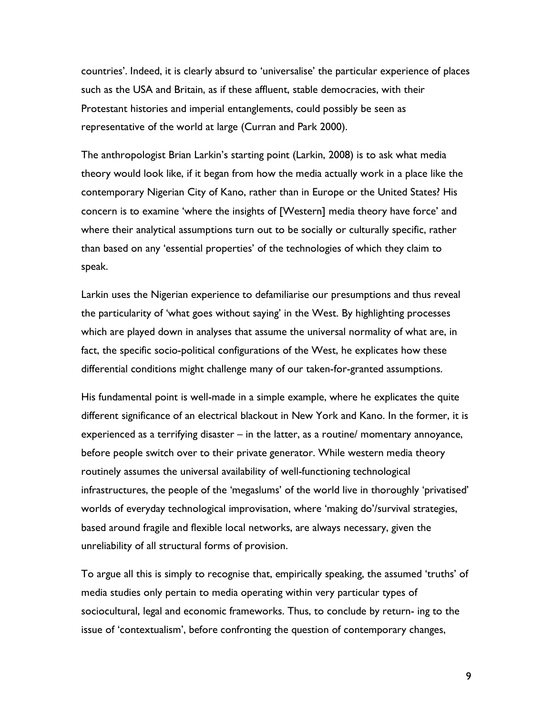countries'. Indeed, it is clearly absurd to 'universalise' the particular experience of places such as the USA and Britain, as if these affluent, stable democracies, with their Protestant histories and imperial entanglements, could possibly be seen as representative of the world at large (Curran and Park 2000).

The anthropologist Brian Larkin's starting point (Larkin, 2008) is to ask what media theory would look like, if it began from how the media actually work in a place like the contemporary Nigerian City of Kano, rather than in Europe or the United States? His concern is to examine 'where the insights of [Western] media theory have force' and where their analytical assumptions turn out to be socially or culturally specific, rather than based on any 'essential properties' of the technologies of which they claim to speak.

Larkin uses the Nigerian experience to defamiliarise our presumptions and thus reveal the particularity of 'what goes without saying' in the West. By highlighting processes which are played down in analyses that assume the universal normality of what are, in fact, the specific socio-political configurations of the West, he explicates how these differential conditions might challenge many of our taken-for-granted assumptions.

His fundamental point is well-made in a simple example, where he explicates the quite different significance of an electrical blackout in New York and Kano. In the former, it is experienced as a terrifying disaster – in the latter, as a routine/ momentary annoyance, before people switch over to their private generator. While western media theory routinely assumes the universal availability of well-functioning technological infrastructures, the people of the 'megaslums' of the world live in thoroughly 'privatised' worlds of everyday technological improvisation, where 'making do'/survival strategies, based around fragile and flexible local networks, are always necessary, given the unreliability of all structural forms of provision.

To argue all this is simply to recognise that, empirically speaking, the assumed 'truths' of media studies only pertain to media operating within very particular types of sociocultural, legal and economic frameworks. Thus, to conclude by return- ing to the issue of 'contextualism', before confronting the question of contemporary changes,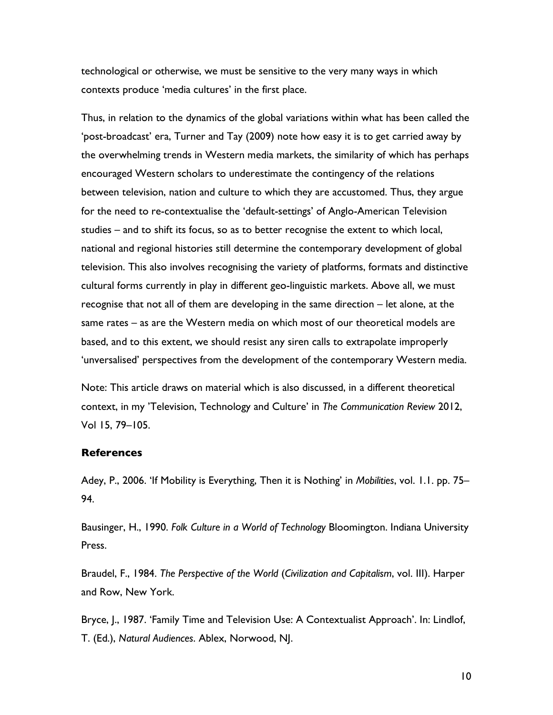technological or otherwise, we must be sensitive to the very many ways in which contexts produce 'media cultures' in the first place.

Thus, in relation to the dynamics of the global variations within what has been called the 'post-broadcast' era, Turner and Tay (2009) note how easy it is to get carried away by the overwhelming trends in Western media markets, the similarity of which has perhaps encouraged Western scholars to underestimate the contingency of the relations between television, nation and culture to which they are accustomed. Thus, they argue for the need to re-contextualise the 'default-settings' of Anglo-American Television studies – and to shift its focus, so as to better recognise the extent to which local, national and regional histories still determine the contemporary development of global television. This also involves recognising the variety of platforms, formats and distinctive cultural forms currently in play in different geo-linguistic markets. Above all, we must recognise that not all of them are developing in the same direction – let alone, at the same rates – as are the Western media on which most of our theoretical models are based, and to this extent, we should resist any siren calls to extrapolate improperly 'unversalised' perspectives from the development of the contemporary Western media.

Note: This article draws on material which is also discussed, in a different theoretical context, in my 'Television, Technology and Culture' in *The Communication Review* 2012, Vol 15, 79–105.

## **References**

Adey, P., 2006. 'If Mobility is Everything, Then it is Nothing' in *Mobilities*, vol. 1.1. pp. 75– 94.

Bausinger, H., 1990. *Folk Culture in a World of Technology* Bloomington. Indiana University Press.

Braudel, F., 1984. *The Perspective of the World* (*Civilization and Capitalism*, vol. III). Harper and Row, New York.

Bryce, J., 1987. 'Family Time and Television Use: A Contextualist Approach'. In: Lindlof, T. (Ed.), *Natural Audiences*. Ablex, Norwood, NJ.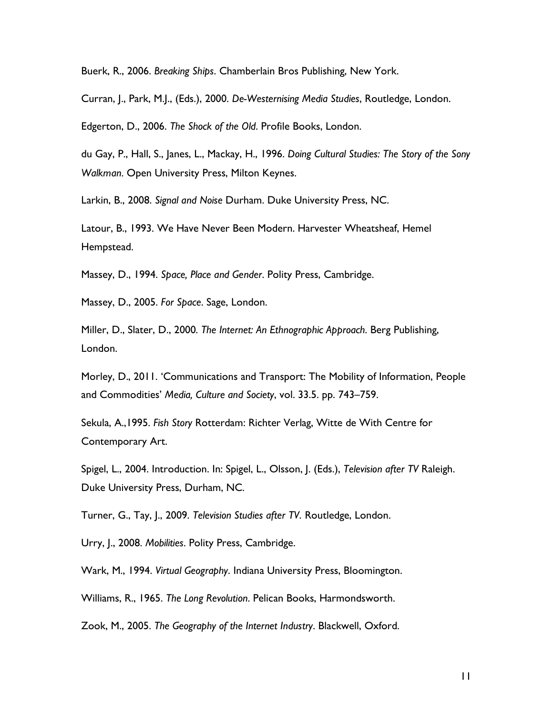Buerk, R., 2006. *Breaking Ships*. Chamberlain Bros Publishing, New York.

Curran, J., Park, M.J., (Eds.), 2000. *De-Westernising Media Studies*, Routledge, London.

Edgerton, D., 2006. *The Shock of the Old*. Profile Books, London.

du Gay, P., Hall, S., Janes, L., Mackay, H., 1996. *Doing Cultural Studies: The Story of the Sony Walkman*. Open University Press, Milton Keynes.

Larkin, B., 2008. *Signal and Noise* Durham. Duke University Press, NC.

Latour, B., 1993. We Have Never Been Modern. Harvester Wheatsheaf, Hemel Hempstead.

Massey, D., 1994. *Space, Place and Gender*. Polity Press, Cambridge.

Massey, D., 2005. *For Space*. Sage, London.

Miller, D., Slater, D., 2000. *The Internet: An Ethnographic Approach*. Berg Publishing, London.

Morley, D., 2011. 'Communications and Transport: The Mobility of Information, People and Commodities' *Media, Culture and Society*, vol. 33.5. pp. 743–759.

Sekula, A.,1995. *Fish Story* Rotterdam: Richter Verlag, Witte de With Centre for Contemporary Art.

Spigel, L., 2004. Introduction. In: Spigel, L., Olsson, J. (Eds.), *Television after TV* Raleigh. Duke University Press, Durham, NC.

Turner, G., Tay, J., 2009. *Television Studies after TV*. Routledge, London.

Urry, J., 2008. *Mobilities*. Polity Press, Cambridge.

Wark, M., 1994. *Virtual Geography*. Indiana University Press, Bloomington.

Williams, R., 1965. *The Long Revolution*. Pelican Books, Harmondsworth.

Zook, M., 2005. *The Geography of the Internet Industry*. Blackwell, Oxford.